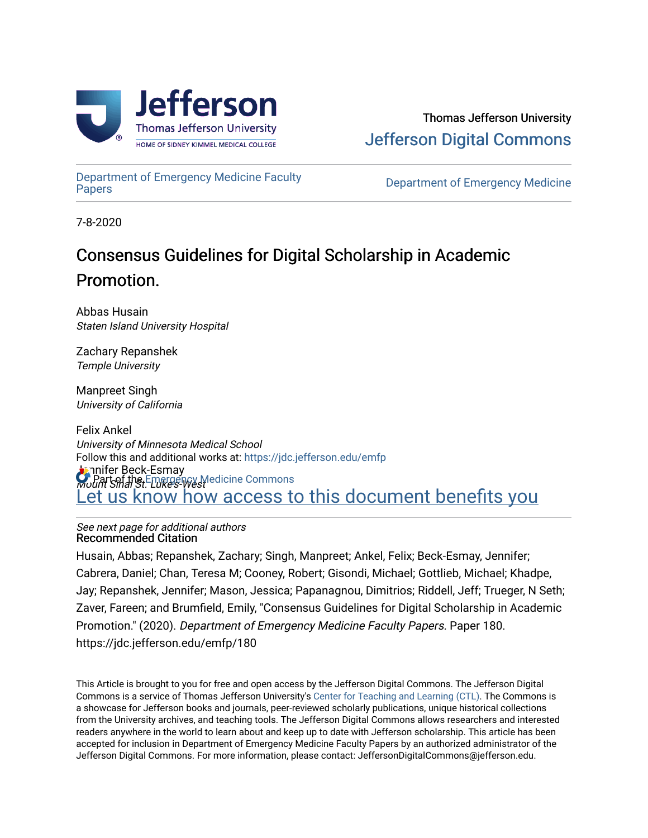

[Department of Emergency Medicine Faculty](https://jdc.jefferson.edu/emfp) Department of Emergency Medicine Faculty<br>[Papers](https://jdc.jefferson.edu/emfp)

7-8-2020

# Consensus Guidelines for Digital Scholarship in Academic Promotion.

Abbas Husain Staten Island University Hospital

Zachary Repanshek Temple University

Manpreet Singh University of California

Felix Ankel University of Minnesota Medical School **Danifer Beck-Esmay C** Part of the [Emergency Medicine Commons](http://network.bepress.com/hgg/discipline/685?utm_source=jdc.jefferson.edu%2Femfp%2F180&utm_medium=PDF&utm_campaign=PDFCoverPages)<br>Wount Sinal St. Lukes-West Follow this and additional works at: [https://jdc.jefferson.edu/emfp](https://jdc.jefferson.edu/emfp?utm_source=jdc.jefferson.edu%2Femfp%2F180&utm_medium=PDF&utm_campaign=PDFCoverPages) Let us know how access to this document benefits you

See next page for additional authors Recommended Citation

Husain, Abbas; Repanshek, Zachary; Singh, Manpreet; Ankel, Felix; Beck-Esmay, Jennifer; Cabrera, Daniel; Chan, Teresa M; Cooney, Robert; Gisondi, Michael; Gottlieb, Michael; Khadpe, Jay; Repanshek, Jennifer; Mason, Jessica; Papanagnou, Dimitrios; Riddell, Jeff; Trueger, N Seth; Zaver, Fareen; and Brumfield, Emily, "Consensus Guidelines for Digital Scholarship in Academic Promotion." (2020). Department of Emergency Medicine Faculty Papers. Paper 180. https://jdc.jefferson.edu/emfp/180

This Article is brought to you for free and open access by the Jefferson Digital Commons. The Jefferson Digital Commons is a service of Thomas Jefferson University's [Center for Teaching and Learning \(CTL\)](http://www.jefferson.edu/university/teaching-learning.html/). The Commons is a showcase for Jefferson books and journals, peer-reviewed scholarly publications, unique historical collections from the University archives, and teaching tools. The Jefferson Digital Commons allows researchers and interested readers anywhere in the world to learn about and keep up to date with Jefferson scholarship. This article has been accepted for inclusion in Department of Emergency Medicine Faculty Papers by an authorized administrator of the Jefferson Digital Commons. For more information, please contact: JeffersonDigitalCommons@jefferson.edu.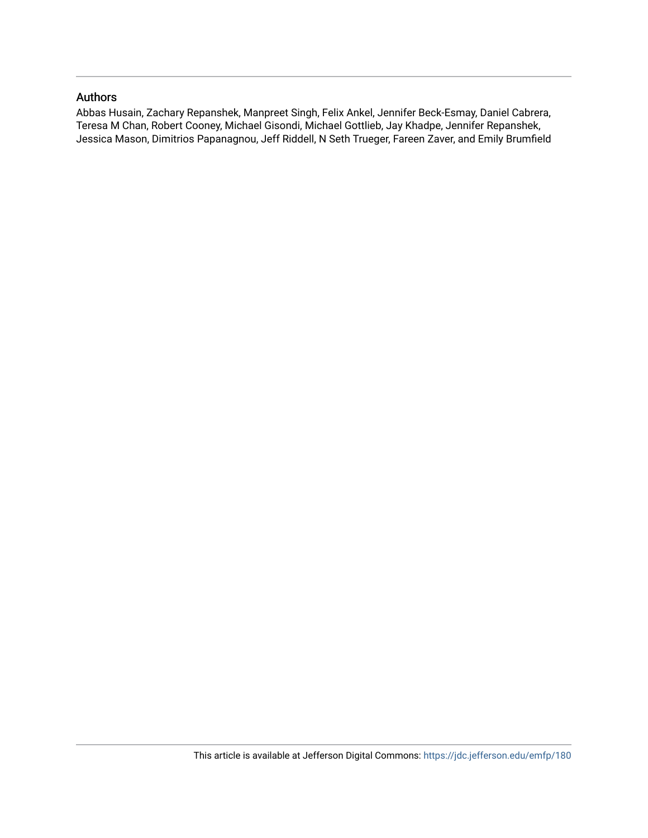## Authors

Abbas Husain, Zachary Repanshek, Manpreet Singh, Felix Ankel, Jennifer Beck-Esmay, Daniel Cabrera, Teresa M Chan, Robert Cooney, Michael Gisondi, Michael Gottlieb, Jay Khadpe, Jennifer Repanshek, Jessica Mason, Dimitrios Papanagnou, Jeff Riddell, N Seth Trueger, Fareen Zaver, and Emily Brumfield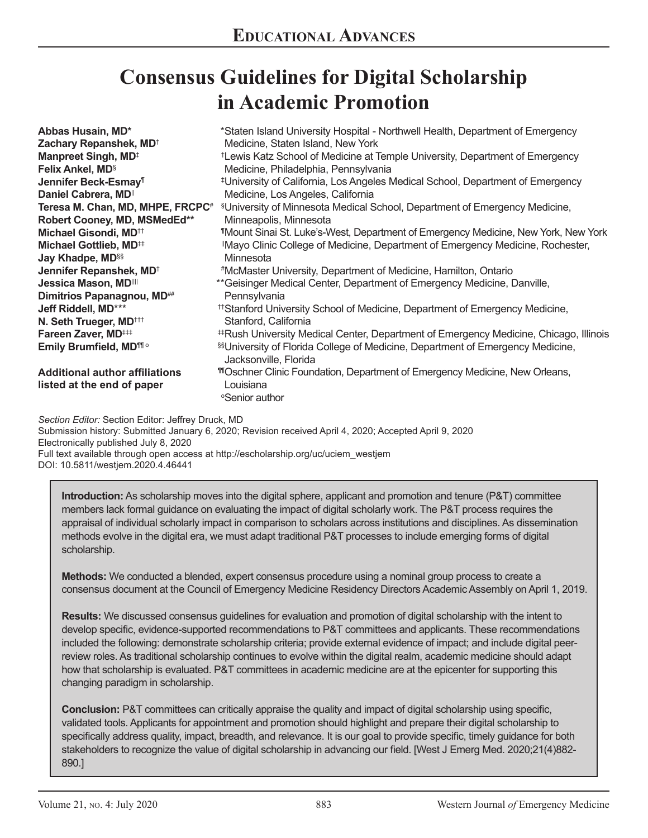# **Consensus Guidelines for Digital Scholarship in Academic Promotion**

| Abbas Husain, MD*                            | *Staten Island University Hospital - Northwell Health, Department of Emergency                                      |
|----------------------------------------------|---------------------------------------------------------------------------------------------------------------------|
| Zachary Repanshek, MD <sup>+</sup>           | Medicine, Staten Island, New York                                                                                   |
| Manpreet Singh, MD <sup>‡</sup>              | <sup>†</sup> Lewis Katz School of Medicine at Temple University, Department of Emergency                            |
| Felix Ankel, MD <sup>§</sup>                 | Medicine, Philadelphia, Pennsylvania                                                                                |
| Jennifer Beck-Esmay <sup>11</sup>            | #University of California, Los Angeles Medical School, Department of Emergency                                      |
| Daniel Cabrera, MD                           | Medicine, Los Angeles, California                                                                                   |
| Teresa M. Chan, MD, MHPE, FRCPC <sup>#</sup> | <sup>§</sup> University of Minnesota Medical School, Department of Emergency Medicine,                              |
| Robert Cooney, MD, MSMedEd**                 | Minneapolis, Minnesota                                                                                              |
| Michael Gisondi, MD <sup>++</sup>            | "Mount Sinai St. Luke's-West, Department of Emergency Medicine, New York, New York                                  |
| Michael Gottlieb, MD <sup>##</sup>           | "Mayo Clinic College of Medicine, Department of Emergency Medicine, Rochester,                                      |
| Jay Khadpe, MD <sup>§§</sup>                 | Minnesota                                                                                                           |
| Jennifer Repanshek, MD <sup>+</sup>          | *McMaster University, Department of Medicine, Hamilton, Ontario                                                     |
| Jessica Mason, MD                            | **Geisinger Medical Center, Department of Emergency Medicine, Danville,                                             |
| Dimitrios Papanagnou, MD <sup>##</sup>       | Pennsylvania                                                                                                        |
| Jeff Riddell, MD***                          | <sup>††</sup> Stanford University School of Medicine, Department of Emergency Medicine,                             |
| N. Seth Trueger, MD <sup>+++</sup>           | Stanford, California                                                                                                |
| Fareen Zaver, MD <sup>###</sup>              | #Rush University Medical Center, Department of Emergency Medicine, Chicago, Illinois                                |
| Emily Brumfield, MD <sup>111 o</sup>         | <sup>§§</sup> University of Florida College of Medicine, Department of Emergency Medicine,<br>Jacksonville, Florida |
| <b>Additional author affiliations</b>        | <b>"MOschner Clinic Foundation, Department of Emergency Medicine, New Orleans,</b>                                  |
| listed at the end of paper                   | Louisiana                                                                                                           |
|                                              | <sup>o</sup> Senior author                                                                                          |

*Section Editor:* Section Editor: Jeffrey Druck, MD

Submission history: Submitted January 6, 2020; Revision received April 4, 2020; Accepted April 9, 2020 Electronically published July 8, 2020 Full text available through open access at http://escholarship.org/uc/uciem\_westjem

DOI: 10.5811/westjem.2020.4.46441

**Introduction:** As scholarship moves into the digital sphere, applicant and promotion and tenure (P&T) committee members lack formal guidance on evaluating the impact of digital scholarly work. The P&T process requires the appraisal of individual scholarly impact in comparison to scholars across institutions and disciplines. As dissemination methods evolve in the digital era, we must adapt traditional P&T processes to include emerging forms of digital scholarship.

**Methods:** We conducted a blended, expert consensus procedure using a nominal group process to create a consensus document at the Council of Emergency Medicine Residency Directors Academic Assembly on April 1, 2019.

**Results:** We discussed consensus guidelines for evaluation and promotion of digital scholarship with the intent to develop specific, evidence-supported recommendations to P&T committees and applicants. These recommendations included the following: demonstrate scholarship criteria; provide external evidence of impact; and include digital peerreview roles. As traditional scholarship continues to evolve within the digital realm, academic medicine should adapt how that scholarship is evaluated. P&T committees in academic medicine are at the epicenter for supporting this changing paradigm in scholarship.

**Conclusion:** P&T committees can critically appraise the quality and impact of digital scholarship using specific, validated tools. Applicants for appointment and promotion should highlight and prepare their digital scholarship to specifically address quality, impact, breadth, and relevance. It is our goal to provide specific, timely guidance for both stakeholders to recognize the value of digital scholarship in advancing our field. [West J Emerg Med. 2020;21(4)882- 890.]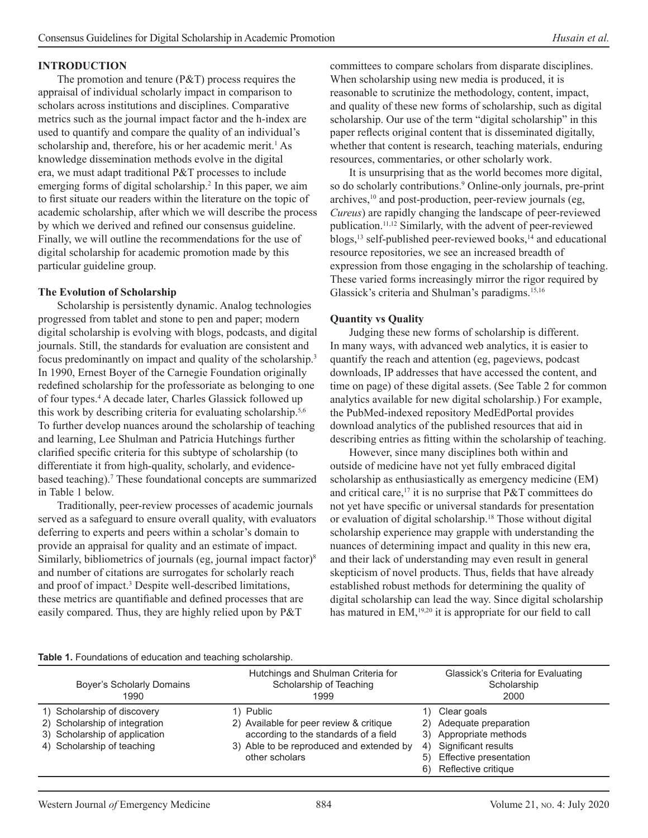## **INTRODUCTION**

The promotion and tenure  $(P&T)$  process requires the appraisal of individual scholarly impact in comparison to scholars across institutions and disciplines. Comparative metrics such as the journal impact factor and the h-index are used to quantify and compare the quality of an individual's scholarship and, therefore, his or her academic merit.<sup>1</sup> As knowledge dissemination methods evolve in the digital era, we must adapt traditional P&T processes to include emerging forms of digital scholarship.<sup>2</sup> In this paper, we aim to first situate our readers within the literature on the topic of academic scholarship, after which we will describe the process by which we derived and refined our consensus guideline. Finally, we will outline the recommendations for the use of digital scholarship for academic promotion made by this particular guideline group.

### **The Evolution of Scholarship**

Scholarship is persistently dynamic. Analog technologies progressed from tablet and stone to pen and paper; modern digital scholarship is evolving with blogs, podcasts, and digital journals. Still, the standards for evaluation are consistent and focus predominantly on impact and quality of the scholarship.3 In 1990, Ernest Boyer of the Carnegie Foundation originally redefined scholarship for the professoriate as belonging to one of four types.4 A decade later, Charles Glassick followed up this work by describing criteria for evaluating scholarship.<sup>5,6</sup> To further develop nuances around the scholarship of teaching and learning, Lee Shulman and Patricia Hutchings further clarified specific criteria for this subtype of scholarship (to differentiate it from high-quality, scholarly, and evidencebased teaching).<sup>7</sup> These foundational concepts are summarized in Table 1 below.

Traditionally, peer-review processes of academic journals served as a safeguard to ensure overall quality, with evaluators deferring to experts and peers within a scholar's domain to provide an appraisal for quality and an estimate of impact. Similarly, bibliometrics of journals (eg, journal impact factor)<sup>8</sup> and number of citations are surrogates for scholarly reach and proof of impact.3 Despite well-described limitations, these metrics are quantifiable and defined processes that are easily compared. Thus, they are highly relied upon by P&T

committees to compare scholars from disparate disciplines. When scholarship using new media is produced, it is reasonable to scrutinize the methodology, content, impact, and quality of these new forms of scholarship, such as digital scholarship. Our use of the term "digital scholarship" in this paper reflects original content that is disseminated digitally, whether that content is research, teaching materials, enduring resources, commentaries, or other scholarly work.

It is unsurprising that as the world becomes more digital, so do scholarly contributions.<sup>9</sup> Online-only journals, pre-print archives,<sup>10</sup> and post-production, peer-review journals (eg, *Cureus*) are rapidly changing the landscape of peer-reviewed publication.11,12 Similarly, with the advent of peer-reviewed blogs,<sup>13</sup> self-published peer-reviewed books,<sup>14</sup> and educational resource repositories, we see an increased breadth of expression from those engaging in the scholarship of teaching. These varied forms increasingly mirror the rigor required by Glassick's criteria and Shulman's paradigms.<sup>15,16</sup>

# **Quantity vs Quality**

Judging these new forms of scholarship is different. In many ways, with advanced web analytics, it is easier to quantify the reach and attention (eg, pageviews, podcast downloads, IP addresses that have accessed the content, and time on page) of these digital assets. (See Table 2 for common analytics available for new digital scholarship.) For example, the PubMed-indexed repository MedEdPortal provides download analytics of the published resources that aid in describing entries as fitting within the scholarship of teaching.

However, since many disciplines both within and outside of medicine have not yet fully embraced digital scholarship as enthusiastically as emergency medicine (EM) and critical care,<sup>17</sup> it is no surprise that  $P&T$  committees do not yet have specific or universal standards for presentation or evaluation of digital scholarship.18 Those without digital scholarship experience may grapple with understanding the nuances of determining impact and quality in this new era, and their lack of understanding may even result in general skepticism of novel products. Thus, fields that have already established robust methods for determining the quality of digital scholarship can lead the way. Since digital scholarship has matured in EM,<sup>19,20</sup> it is appropriate for our field to call

### **Table 1.** Foundations of education and teaching scholarship.

| Boyer's Scholarly Domains<br>1990                                                                                           | Hutchings and Shulman Criteria for<br>Scholarship of Teaching<br>1999                                                                                       | Glassick's Criteria for Evaluating<br>Scholarship<br>2000                                                                                                     |
|-----------------------------------------------------------------------------------------------------------------------------|-------------------------------------------------------------------------------------------------------------------------------------------------------------|---------------------------------------------------------------------------------------------------------------------------------------------------------------|
| 1) Scholarship of discovery<br>2) Scholarship of integration<br>3) Scholarship of application<br>4) Scholarship of teaching | 1) Public<br>2) Available for peer review & critique<br>according to the standards of a field<br>3) Able to be reproduced and extended by<br>other scholars | Clear goals<br>Adequate preparation<br>2)<br>3) Appropriate methods<br>Significant results<br>4)<br>Effective presentation<br>5)<br>Reflective critique<br>6) |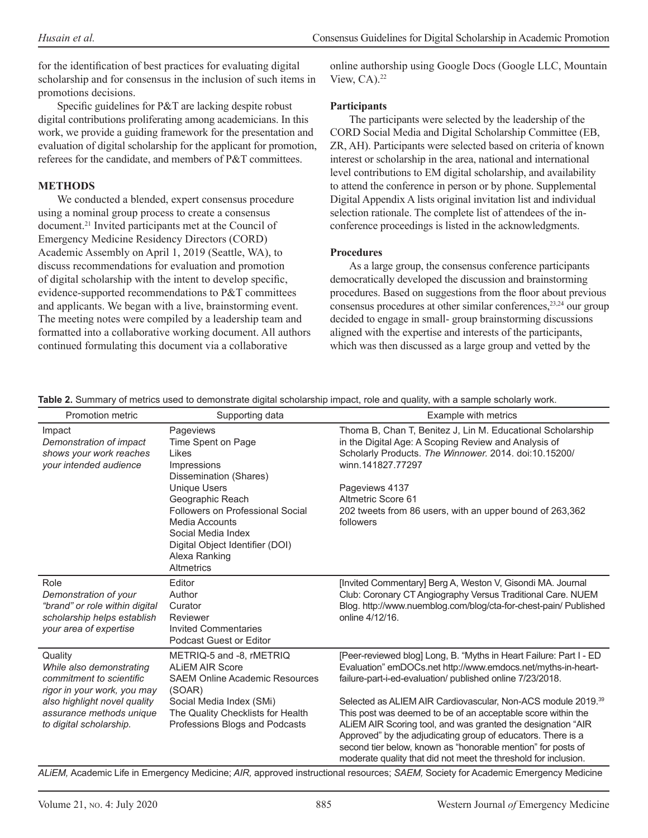for the identification of best practices for evaluating digital scholarship and for consensus in the inclusion of such items in promotions decisions.

Specific guidelines for P&T are lacking despite robust digital contributions proliferating among academicians. In this work, we provide a guiding framework for the presentation and evaluation of digital scholarship for the applicant for promotion, referees for the candidate, and members of P&T committees.

## **METHODS**

We conducted a blended, expert consensus procedure using a nominal group process to create a consensus document.21 Invited participants met at the Council of Emergency Medicine Residency Directors (CORD) Academic Assembly on April 1, 2019 (Seattle, WA), to discuss recommendations for evaluation and promotion of digital scholarship with the intent to develop specific, evidence-supported recommendations to P&T committees and applicants. We began with a live, brainstorming event. The meeting notes were compiled by a leadership team and formatted into a collaborative working document. All authors continued formulating this document via a collaborative

online authorship using Google Docs (Google LLC, Mountain View,  $CA$ ).<sup>22</sup>

### **Participants**

The participants were selected by the leadership of the CORD Social Media and Digital Scholarship Committee (EB, ZR, AH). Participants were selected based on criteria of known interest or scholarship in the area, national and international level contributions to EM digital scholarship, and availability to attend the conference in person or by phone. Supplemental Digital Appendix A lists original invitation list and individual selection rationale. The complete list of attendees of the inconference proceedings is listed in the acknowledgments.

### **Procedures**

As a large group, the consensus conference participants democratically developed the discussion and brainstorming procedures. Based on suggestions from the floor about previous consensus procedures at other similar conferences,<sup>23,24</sup> our group decided to engage in small- group brainstorming discussions aligned with the expertise and interests of the participants, which was then discussed as a large group and vetted by the

| Promotion metric                                                                                                                                                                      | Supporting data                                                                                                                                                                                                                                                                   | Example with metrics                                                                                                                                                                                                                                                                                                                                                                                                                                                                                                                                                                               |
|---------------------------------------------------------------------------------------------------------------------------------------------------------------------------------------|-----------------------------------------------------------------------------------------------------------------------------------------------------------------------------------------------------------------------------------------------------------------------------------|----------------------------------------------------------------------------------------------------------------------------------------------------------------------------------------------------------------------------------------------------------------------------------------------------------------------------------------------------------------------------------------------------------------------------------------------------------------------------------------------------------------------------------------------------------------------------------------------------|
| Impact<br>Demonstration of impact<br>shows your work reaches<br>your intended audience                                                                                                | Pageviews<br>Time Spent on Page<br>Likes<br>Impressions<br>Dissemination (Shares)<br><b>Unique Users</b><br>Geographic Reach<br>Followers on Professional Social<br>Media Accounts<br>Social Media Index<br>Digital Object Identifier (DOI)<br>Alexa Ranking<br><b>Altmetrics</b> | Thoma B, Chan T, Benitez J, Lin M. Educational Scholarship<br>in the Digital Age: A Scoping Review and Analysis of<br>Scholarly Products. The Winnower. 2014. doi:10.15200/<br>winn.141827.77297<br>Pageviews 4137<br>Altmetric Score 61<br>202 tweets from 86 users, with an upper bound of 263,362<br>followers                                                                                                                                                                                                                                                                                  |
| Role<br>Demonstration of your<br>"brand" or role within digital<br>scholarship helps establish<br>your area of expertise                                                              | Editor<br>Author<br>Curator<br>Reviewer<br><b>Invited Commentaries</b><br>Podcast Guest or Editor                                                                                                                                                                                 | [Invited Commentary] Berg A, Weston V, Gisondi MA. Journal<br>Club: Coronary CT Angiography Versus Traditional Care. NUEM<br>Blog. http://www.nuemblog.com/blog/cta-for-chest-pain/ Published<br>online 4/12/16.                                                                                                                                                                                                                                                                                                                                                                                   |
| Quality<br>While also demonstrating<br>commitment to scientific<br>rigor in your work, you may<br>also highlight novel quality<br>assurance methods unique<br>to digital scholarship. | METRIQ-5 and -8, rMETRIQ<br><b>ALIEM AIR Score</b><br><b>SAEM Online Academic Resources</b><br>(SOAR)<br>Social Media Index (SMi)<br>The Quality Checklists for Health<br>Professions Blogs and Podcasts                                                                          | [Peer-reviewed blog] Long, B. "Myths in Heart Failure: Part I - ED<br>Evaluation" emDOCs.net http://www.emdocs.net/myths-in-heart-<br>failure-part-i-ed-evaluation/ published online 7/23/2018.<br>Selected as ALIEM AIR Cardiovascular, Non-ACS module 2019.39<br>This post was deemed to be of an acceptable score within the<br>ALIEM AIR Scoring tool, and was granted the designation "AIR<br>Approved" by the adjudicating group of educators. There is a<br>second tier below, known as "honorable mention" for posts of<br>moderate quality that did not meet the threshold for inclusion. |

**Table 2.** Summary of metrics used to demonstrate digital scholarship impact, role and quality, with a sample scholarly work.

*ALiEM,* Academic Life in Emergency Medicine; *AIR,* approved instructional resources; *SAEM,* Society for Academic Emergency Medicine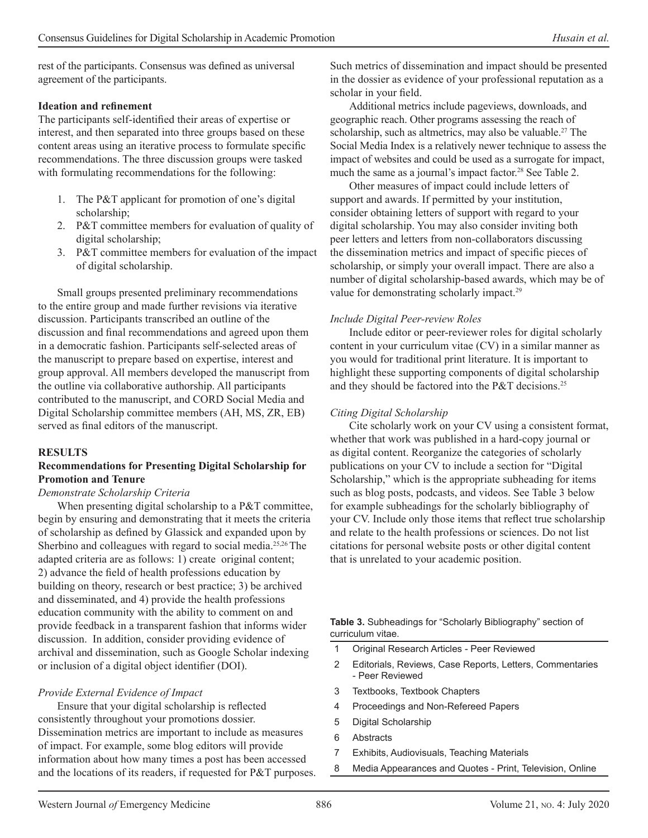rest of the participants. Consensus was defined as universal agreement of the participants.

### **Ideation and refinement**

The participants self-identified their areas of expertise or interest, and then separated into three groups based on these content areas using an iterative process to formulate specific recommendations. The three discussion groups were tasked with formulating recommendations for the following:

- 1. The P&T applicant for promotion of one's digital scholarship;
- 2. P&T committee members for evaluation of quality of digital scholarship;
- 3. P&T committee members for evaluation of the impact of digital scholarship.

Small groups presented preliminary recommendations to the entire group and made further revisions via iterative discussion. Participants transcribed an outline of the discussion and final recommendations and agreed upon them in a democratic fashion. Participants self-selected areas of the manuscript to prepare based on expertise, interest and group approval. All members developed the manuscript from the outline via collaborative authorship. All participants contributed to the manuscript, and CORD Social Media and Digital Scholarship committee members (AH, MS, ZR, EB) served as final editors of the manuscript.

### **RESULTS**

## **Recommendations for Presenting Digital Scholarship for Promotion and Tenure**

### *Demonstrate Scholarship Criteria*

When presenting digital scholarship to a P&T committee, begin by ensuring and demonstrating that it meets the criteria of scholarship as defined by Glassick and expanded upon by Sherbino and colleagues with regard to social media.25,26 The adapted criteria are as follows: 1) create original content; 2) advance the field of health professions education by building on theory, research or best practice; 3) be archived and disseminated, and 4) provide the health professions education community with the ability to comment on and provide feedback in a transparent fashion that informs wider discussion. In addition, consider providing evidence of archival and dissemination, such as Google Scholar indexing or inclusion of a digital object identifier (DOI).

# *Provide External Evidence of Impact*

Ensure that your digital scholarship is reflected consistently throughout your promotions dossier. Dissemination metrics are important to include as measures of impact. For example, some blog editors will provide information about how many times a post has been accessed and the locations of its readers, if requested for P&T purposes. Such metrics of dissemination and impact should be presented in the dossier as evidence of your professional reputation as a scholar in your field.

Additional metrics include pageviews, downloads, and geographic reach. Other programs assessing the reach of scholarship, such as altmetrics, may also be valuable.<sup>27</sup> The Social Media Index is a relatively newer technique to assess the impact of websites and could be used as a surrogate for impact, much the same as a journal's impact factor.<sup>28</sup> See Table 2.

Other measures of impact could include letters of support and awards. If permitted by your institution, consider obtaining letters of support with regard to your digital scholarship. You may also consider inviting both peer letters and letters from non-collaborators discussing the dissemination metrics and impact of specific pieces of scholarship, or simply your overall impact. There are also a number of digital scholarship-based awards, which may be of value for demonstrating scholarly impact.<sup>29</sup>

## *Include Digital Peer-review Roles*

Include editor or peer-reviewer roles for digital scholarly content in your curriculum vitae (CV) in a similar manner as you would for traditional print literature. It is important to highlight these supporting components of digital scholarship and they should be factored into the P&T decisions.<sup>25</sup>

# *Citing Digital Scholarship*

Cite scholarly work on your CV using a consistent format, whether that work was published in a hard-copy journal or as digital content. Reorganize the categories of scholarly publications on your CV to include a section for "Digital Scholarship," which is the appropriate subheading for items such as blog posts, podcasts, and videos. See Table 3 below for example subheadings for the scholarly bibliography of your CV. Include only those items that reflect true scholarship and relate to the health professions or sciences. Do not list citations for personal website posts or other digital content that is unrelated to your academic position.

**Table 3.** Subheadings for "Scholarly Bibliography" section of curriculum vitae.

- 1 Original Research Articles Peer Reviewed
- 2 Editorials, Reviews, Case Reports, Letters, Commentaries - Peer Reviewed
- 3 Textbooks, Textbook Chapters
- 4 Proceedings and Non-Refereed Papers
- 5 Digital Scholarship
- 6 Abstracts
- 7 Exhibits, Audiovisuals, Teaching Materials
- 8 Media Appearances and Quotes Print, Television, Online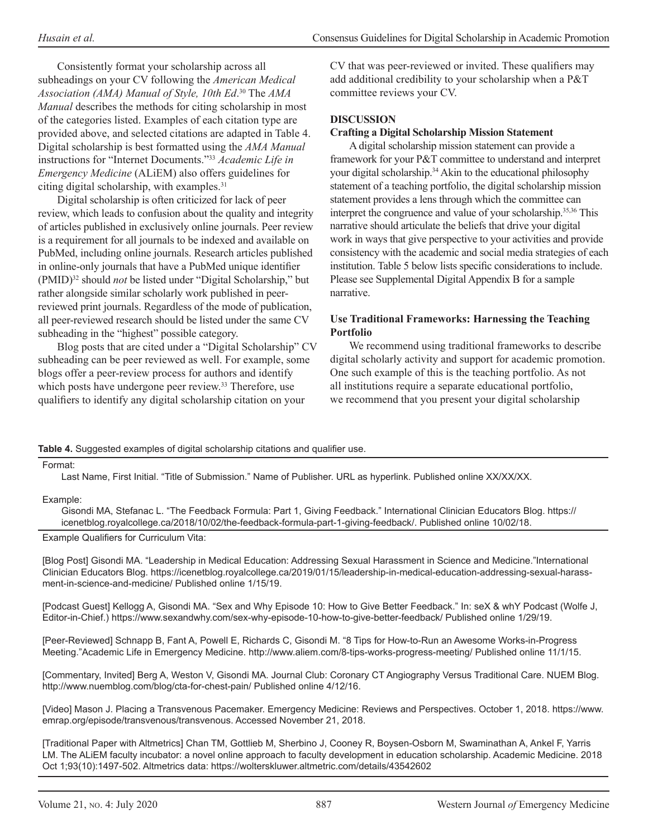Consistently format your scholarship across all subheadings on your CV following the *American Medical Association (AMA) Manual of Style, 10th Ed*. 30 The *AMA Manual* describes the methods for citing scholarship in most of the categories listed. Examples of each citation type are provided above, and selected citations are adapted in Table 4. Digital scholarship is best formatted using the *AMA Manual* instructions for "Internet Documents."33 *Academic Life in Emergency Medicine* (ALiEM) also offers guidelines for citing digital scholarship, with examples.<sup>31</sup>

Digital scholarship is often criticized for lack of peer review, which leads to confusion about the quality and integrity of articles published in exclusively online journals. Peer review is a requirement for all journals to be indexed and available on PubMed, including online journals. Research articles published in online-only journals that have a PubMed unique identifier (PMID)32 should *not* be listed under "Digital Scholarship," but rather alongside similar scholarly work published in peerreviewed print journals. Regardless of the mode of publication, all peer-reviewed research should be listed under the same CV subheading in the "highest" possible category.

Blog posts that are cited under a "Digital Scholarship" CV subheading can be peer reviewed as well. For example, some blogs offer a peer-review process for authors and identify which posts have undergone peer review.<sup>33</sup> Therefore, use qualifiers to identify any digital scholarship citation on your

CV that was peer-reviewed or invited. These qualifiers may add additional credibility to your scholarship when a P&T committee reviews your CV.

## **DISCUSSION**

### **Crafting a Digital Scholarship Mission Statement**

A digital scholarship mission statement can provide a framework for your P&T committee to understand and interpret your digital scholarship.34 Akin to the educational philosophy statement of a teaching portfolio, the digital scholarship mission statement provides a lens through which the committee can interpret the congruence and value of your scholarship.35,36 This narrative should articulate the beliefs that drive your digital work in ways that give perspective to your activities and provide consistency with the academic and social media strategies of each institution. Table 5 below lists specific considerations to include. Please see Supplemental Digital Appendix B for a sample narrative.

## **Use Traditional Frameworks: Harnessing the Teaching Portfolio**

We recommend using traditional frameworks to describe digital scholarly activity and support for academic promotion. One such example of this is the teaching portfolio. As not all institutions require a separate educational portfolio, we recommend that you present your digital scholarship

#### **Table 4.** Suggested examples of digital scholarship citations and qualifier use.

#### Format:

Last Name, First Initial. "Title of Submission." Name of Publisher. URL as hyperlink. Published online XX/XX/XX.

#### Example:

Gisondi MA, Stefanac L. "The Feedback Formula: Part 1, Giving Feedback." International Clinician Educators Blog. https:// icenetblog.royalcollege.ca/2018/10/02/the-feedback-formula-part-1-giving-feedback/. Published online 10/02/18.

Example Qualifiers for Curriculum Vita:

[Blog Post] Gisondi MA. "Leadership in Medical Education: Addressing Sexual Harassment in Science and Medicine."International Clinician Educators Blog. https://icenetblog.royalcollege.ca/2019/01/15/leadership-in-medical-education-addressing-sexual-harassment-in-science-and-medicine/ Published online 1/15/19.

[Podcast Guest] Kellogg A, Gisondi MA. "Sex and Why Episode 10: How to Give Better Feedback." In: seX & whY Podcast (Wolfe J, Editor-in-Chief.) https://www.sexandwhy.com/sex-why-episode-10-how-to-give-better-feedback/ Published online 1/29/19.

[Peer-Reviewed] Schnapp B, Fant A, Powell E, Richards C, Gisondi M. "8 Tips for How-to-Run an Awesome Works-in-Progress Meeting."Academic Life in Emergency Medicine. http://www.aliem.com/8-tips-works-progress-meeting/ Published online 11/1/15.

[Commentary, Invited] Berg A, Weston V, Gisondi MA. Journal Club: Coronary CT Angiography Versus Traditional Care. NUEM Blog. http://www.nuemblog.com/blog/cta-for-chest-pain/ Published online 4/12/16.

[Video] Mason J. Placing a Transvenous Pacemaker. Emergency Medicine: Reviews and Perspectives. October 1, 2018. https://www. emrap.org/episode/transvenous/transvenous. Accessed November 21, 2018.

[Traditional Paper with Altmetrics] Chan TM, Gottlieb M, Sherbino J, Cooney R, Boysen-Osborn M, Swaminathan A, Ankel F, Yarris LM. The ALiEM faculty incubator: a novel online approach to faculty development in education scholarship. Academic Medicine. 2018 Oct 1;93(10):1497-502. Altmetrics data: https://wolterskluwer.altmetric.com/details/43542602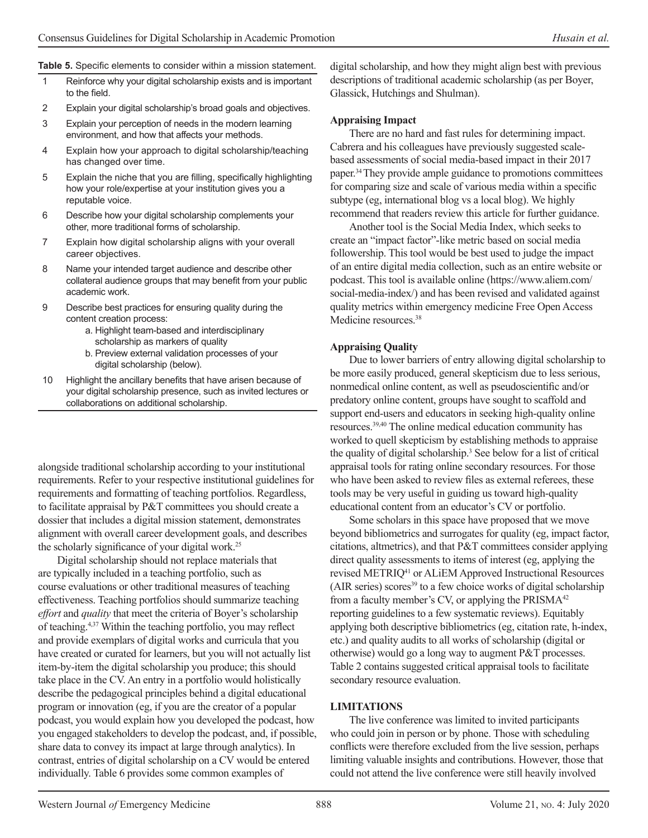**Table 5.** Specific elements to consider within a mission statement.

- 1 Reinforce why your digital scholarship exists and is important to the field.
- 2 Explain your digital scholarship's broad goals and objectives.
- 3 Explain your perception of needs in the modern learning environment, and how that affects your methods.
- 4 Explain how your approach to digital scholarship/teaching has changed over time.
- 5 Explain the niche that you are filling, specifically highlighting how your role/expertise at your institution gives you a reputable voice.
- 6 Describe how your digital scholarship complements your other, more traditional forms of scholarship.
- 7 Explain how digital scholarship aligns with your overall career objectives.
- 8 Name your intended target audience and describe other collateral audience groups that may benefit from your public academic work.
- 9 Describe best practices for ensuring quality during the content creation process:
	- a. Highlight team-based and interdisciplinary scholarship as markers of quality
	- b. Preview external validation processes of your digital scholarship (below).
- 10 Highlight the ancillary benefits that have arisen because of your digital scholarship presence, such as invited lectures or collaborations on additional scholarship.

alongside traditional scholarship according to your institutional requirements. Refer to your respective institutional guidelines for requirements and formatting of teaching portfolios. Regardless, to facilitate appraisal by P&T committees you should create a dossier that includes a digital mission statement, demonstrates alignment with overall career development goals, and describes the scholarly significance of your digital work.<sup>25</sup>

Digital scholarship should not replace materials that are typically included in a teaching portfolio, such as course evaluations or other traditional measures of teaching effectiveness. Teaching portfolios should summarize teaching *effort* and *quality* that meet the criteria of Boyer's scholarship of teaching.4,37 Within the teaching portfolio, you may reflect and provide exemplars of digital works and curricula that you have created or curated for learners, but you will not actually list item-by-item the digital scholarship you produce; this should take place in the CV. An entry in a portfolio would holistically describe the pedagogical principles behind a digital educational program or innovation (eg, if you are the creator of a popular podcast, you would explain how you developed the podcast, how you engaged stakeholders to develop the podcast, and, if possible, share data to convey its impact at large through analytics). In contrast, entries of digital scholarship on a CV would be entered individually. Table 6 provides some common examples of

digital scholarship, and how they might align best with previous descriptions of traditional academic scholarship (as per Boyer, Glassick, Hutchings and Shulman).

## **Appraising Impact**

There are no hard and fast rules for determining impact. Cabrera and his colleagues have previously suggested scalebased assessments of social media-based impact in their 2017 paper.34 They provide ample guidance to promotions committees for comparing size and scale of various media within a specific subtype (eg, international blog vs a local blog). We highly recommend that readers review this article for further guidance.

Another tool is the Social Media Index, which seeks to create an "impact factor"-like metric based on social media followership. This tool would be best used to judge the impact of an entire digital media collection, such as an entire website or podcast. This tool is available online [\(https://www.aliem.com/](https://www.aliem.com/social-media-index/) [social-media-index/](https://www.aliem.com/social-media-index/)) and has been revised and validated against quality metrics within emergency medicine Free Open Access Medicine resources.<sup>38</sup>

# **Appraising Quality**

Due to lower barriers of entry allowing digital scholarship to be more easily produced, general skepticism due to less serious, nonmedical online content, as well as pseudoscientific and/or predatory online content, groups have sought to scaffold and support end-users and educators in seeking high-quality online resources.39,40 The online medical education community has worked to quell skepticism by establishing methods to appraise the quality of digital scholarship.<sup>3</sup> See below for a list of critical appraisal tools for rating online secondary resources. For those who have been asked to review files as external referees, these tools may be very useful in guiding us toward high-quality educational content from an educator's CV or portfolio.

Some scholars in this space have proposed that we move beyond bibliometrics and surrogates for quality (eg, impact factor, citations, altmetrics), and that P&T committees consider applying direct quality assessments to items of interest (eg, applying the revised METRIQ41 or ALiEM Approved Instructional Resources  $(AIR)$  series) scores<sup>39</sup> to a few choice works of digital scholarship from a faculty member's CV, or applying the PRISMA<sup>42</sup> reporting guidelines to a few systematic reviews). Equitably applying both descriptive bibliometrics (eg, citation rate, h-index, etc.) and quality audits to all works of scholarship (digital or otherwise) would go a long way to augment P&T processes. Table 2 contains suggested critical appraisal tools to facilitate secondary resource evaluation.

# **LIMITATIONS**

The live conference was limited to invited participants who could join in person or by phone. Those with scheduling conflicts were therefore excluded from the live session, perhaps limiting valuable insights and contributions. However, those that could not attend the live conference were still heavily involved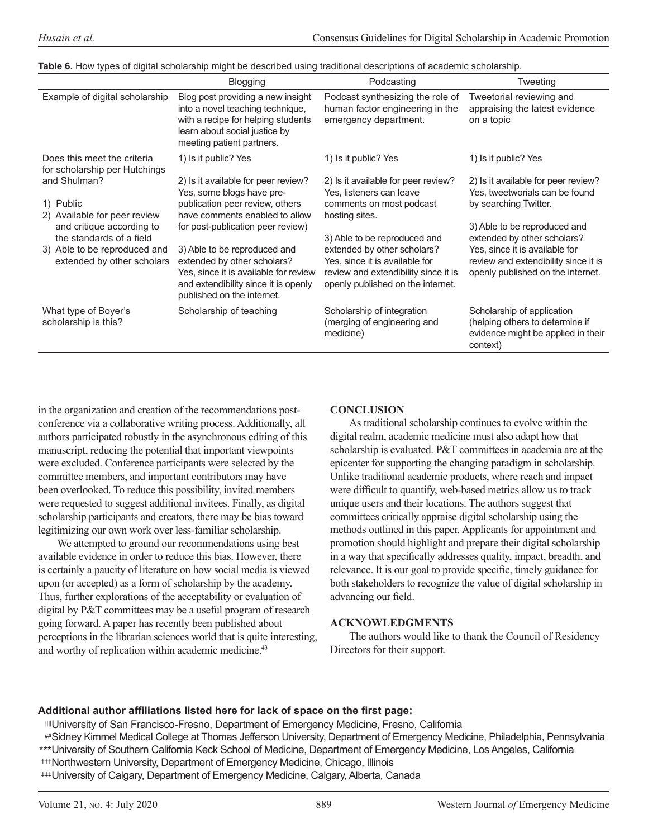|                                                                                                                    | <b>Blogging</b>                                                                                                                                                            | Podcasting                                                                                                                                    | Tweeting                                                                                                                                                      |
|--------------------------------------------------------------------------------------------------------------------|----------------------------------------------------------------------------------------------------------------------------------------------------------------------------|-----------------------------------------------------------------------------------------------------------------------------------------------|---------------------------------------------------------------------------------------------------------------------------------------------------------------|
| Example of digital scholarship                                                                                     | Blog post providing a new insight<br>into a novel teaching technique,<br>with a recipe for helping students<br>learn about social justice by<br>meeting patient partners.  | Podcast synthesizing the role of<br>human factor engineering in the<br>emergency department.                                                  | Tweetorial reviewing and<br>appraising the latest evidence<br>on a topic                                                                                      |
| Does this meet the criteria<br>for scholarship per Hutchings                                                       | 1) Is it public? Yes                                                                                                                                                       | 1) Is it public? Yes                                                                                                                          | 1) Is it public? Yes                                                                                                                                          |
| and Shulman?<br>1) Public<br>2) Available for peer review<br>and critique according to<br>the standards of a field | 2) Is it available for peer review?<br>Yes, some blogs have pre-<br>publication peer review, others<br>have comments enabled to allow<br>for post-publication peer review) | 2) Is it available for peer review?<br>Yes, listeners can leave<br>comments on most podcast<br>hosting sites.<br>3) Able to be reproduced and | 2) Is it available for peer review?<br>Yes, tweetworials can be found<br>by searching Twitter.<br>3) Able to be reproduced and<br>extended by other scholars? |
| 3) Able to be reproduced and<br>extended by other scholars                                                         | 3) Able to be reproduced and<br>extended by other scholars?<br>Yes, since it is available for review<br>and extendibility since it is openly<br>published on the internet. | extended by other scholars?<br>Yes, since it is available for<br>review and extendibility since it is<br>openly published on the internet.    | Yes, since it is available for<br>review and extendibility since it is<br>openly published on the internet.                                                   |
| What type of Boyer's<br>scholarship is this?                                                                       | Scholarship of teaching                                                                                                                                                    | Scholarship of integration<br>(merging of engineering and<br>medicine)                                                                        | Scholarship of application<br>(helping others to determine if<br>evidence might be applied in their<br>context)                                               |

|  |  |  | Table 6. How types of digital scholarship might be described using traditional descriptions of academic scholarship. |  |  |
|--|--|--|----------------------------------------------------------------------------------------------------------------------|--|--|
|--|--|--|----------------------------------------------------------------------------------------------------------------------|--|--|

in the organization and creation of the recommendations postconference via a collaborative writing process. Additionally, all authors participated robustly in the asynchronous editing of this manuscript, reducing the potential that important viewpoints were excluded. Conference participants were selected by the committee members, and important contributors may have been overlooked. To reduce this possibility, invited members were requested to suggest additional invitees. Finally, as digital scholarship participants and creators, there may be bias toward legitimizing our own work over less-familiar scholarship.

We attempted to ground our recommendations using best available evidence in order to reduce this bias. However, there is certainly a paucity of literature on how social media is viewed upon (or accepted) as a form of scholarship by the academy. Thus, further explorations of the acceptability or evaluation of digital by P&T committees may be a useful program of research going forward. A paper has recently been published about perceptions in the librarian sciences world that is quite interesting, and worthy of replication within academic medicine.<sup>43</sup>

## **CONCLUSION**

As traditional scholarship continues to evolve within the digital realm, academic medicine must also adapt how that scholarship is evaluated. P&T committees in academia are at the epicenter for supporting the changing paradigm in scholarship. Unlike traditional academic products, where reach and impact were difficult to quantify, web-based metrics allow us to track unique users and their locations. The authors suggest that committees critically appraise digital scholarship using the methods outlined in this paper. Applicants for appointment and promotion should highlight and prepare their digital scholarship in a way that specifically addresses quality, impact, breadth, and relevance. It is our goal to provide specific, timely guidance for both stakeholders to recognize the value of digital scholarship in advancing our field.

### **ACKNOWLEDGMENTS**

The authors would like to thank the Council of Residency Directors for their support.

### **Additional author affiliations listed here for lack of space on the first page:**

|||| University of San Francisco-Fresno, Department of Emergency Medicine, Fresno, California

## Sidney Kimmel Medical College at Thomas Jefferson University, Department of Emergency Medicine, Philadelphia, Pennsylvania \*\*\* University of Southern California Keck School of Medicine, Department of Emergency Medicine, Los Angeles, California ††† Northwestern University, Department of Emergency Medicine, Chicago, Illinois

‡‡‡ University of Calgary, Department of Emergency Medicine, Calgary, Alberta, Canada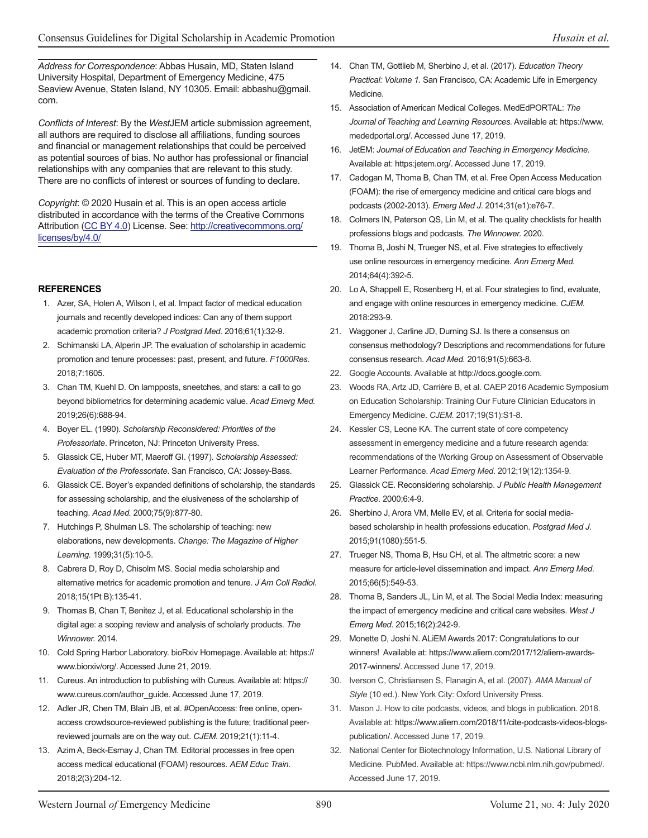*Address for Correspondence*: Abbas Husain, MD, Staten Island University Hospital, Department of Emergency Medicine, 475 Seaview Avenue, Staten Island, NY 10305. Email: abbashu@gmail. com.

*Conflicts of Interest*: By the *West*JEM article submission agreement, all authors are required to disclose all affiliations, funding sources and financial or management relationships that could be perceived as potential sources of bias. No author has professional or financial relationships with any companies that are relevant to this study. There are no conflicts of interest or sources of funding to declare.

*Copyright*: © 2020 Husain et al. This is an open access article distributed in accordance with the terms of the Creative Commons Attribution ([CC BY 4.0](http://creativecommons.org/licenses/by/4.0/)) License. See: [http://creativecommons.org/](http://creativecommons.org/licenses/by/4.0/) [licenses/by/4.0/](http://creativecommons.org/licenses/by/4.0/)

### **REFERENCES**

- 1. Azer, SA, Holen A, Wilson I, et al. Impact factor of medical education journals and recently developed indices: Can any of them support academic promotion criteria? *J Postgrad Med.* 2016;61(1):32-9.
- 2. Schimanski LA, Alperin JP. The evaluation of scholarship in academic promotion and tenure processes: past, present, and future. *F1000Res*. 2018;7:1605.
- 3. Chan TM, Kuehl D. On lampposts, sneetches, and stars: a call to go beyond bibliometrics for determining academic value. *Acad Emerg Med.* 2019;26(6):688-94.
- 4. Boyer EL. (1990). *Scholarship Reconsidered: Priorities of the Professoriate*. Princeton, NJ: Princeton University Press.
- 5. Glassick CE, Huber MT, Maeroff GI. (1997). *Scholarship Assessed: Evaluation of the Professoriate*. San Francisco, CA: Jossey-Bass.
- 6. Glassick CE. Boyer's expanded definitions of scholarship, the standards for assessing scholarship, and the elusiveness of the scholarship of teaching. *Acad Med.* 2000;75(9):877-80.
- 7. Hutchings P, Shulman LS. The scholarship of teaching: new elaborations, new developments. *Change: The Magazine of Higher Learning.* 1999;31(5):10-5.
- 8. Cabrera D, Roy D, Chisolm MS. Social media scholarship and alternative metrics for academic promotion and tenure. *J Am Coll Radiol.* 2018;15(1Pt B):135-41.
- 9. Thomas B, Chan T, Benitez J, et al. Educational scholarship in the digital age: a scoping review and analysis of scholarly products. *The Winnower.* 2014.
- 10. Cold Spring Harbor Laboratory. bioRxiv Homepage. Available at: [https://](https://www.biorxiv/org/) [www.biorxiv/org/.](https://www.biorxiv/org/) Accessed June 21, 2019.
- 11. Cureus. An introduction to publishing with Cureus. Available at: [https://](https://www.cureus.com/author_guide) [www.cureus.com/author\\_guide](https://www.cureus.com/author_guide). Accessed June 17, 2019.
- 12. Adler JR, Chen TM, Blain JB, et al. #OpenAccess: free online, openaccess crowdsource-reviewed publishing is the future; traditional peerreviewed journals are on the way out. *CJEM.* 2019;21(1):11-4.
- 13. Azim A, Beck-Esmay J, Chan TM. Editorial processes in free open access medical educational (FOAM) resources. *AEM Educ Train*. 2018;2(3):204-12.
- 14. Chan TM, Gottlieb M, Sherbino J, et al. (2017). *Education Theory Practical: Volume 1*. San Francisco, CA: Academic Life in Emergency Medicine.
- 15. Association of American Medical Colleges. MedEdPORTAL: *The Journal of Teaching and Learning Resources.* Available at: [https://www.](https://www.mededportal.org/) [mededportal.org/.](https://www.mededportal.org/) Accessed June 17, 2019.
- 16. JetEM: *Journal of Education and Teaching in Emergency Medicine.*  Available at: https:jetem.org/. Accessed June 17, 2019.
- 17. Cadogan M, Thoma B, Chan TM, et al. Free Open Access Meducation (FOAM): the rise of emergency medicine and critical care blogs and podcasts (2002-2013). *Emerg Med J.* 2014;31(e1):e76-7.
- 18. Colmers IN, Paterson QS, Lin M, et al. The quality checklists for health professions blogs and podcasts. *The Winnower.* 2020.
- 19. Thoma B, Joshi N, Trueger NS, et al. Five strategies to effectively use online resources in emergency medicine. *Ann Emerg Med.* 2014;64(4):392-5.
- 20. Lo A, Shappell E, Rosenberg H, et al. Four strategies to find, evaluate, and engage with online resources in emergency medicine. *CJEM.* 2018:293-9.
- 21. Waggoner J, Carline JD, Durning SJ. Is there a consensus on consensus methodology? Descriptions and recommendations for future consensus research. *Acad Med.* 2016;91(5):663-8.
- 22. Google Accounts. Available at<http://docs.google.com>.
- 23. Woods RA, Artz JD, Carrière B, et al. CAEP 2016 Academic Symposium on Education Scholarship: Training Our Future Clinician Educators in Emergency Medicine. *CJEM.* 2017;19(S1):S1-8.
- 24. Kessler CS, Leone KA. The current state of core competency assessment in emergency medicine and a future research agenda: recommendations of the Working Group on Assessment of Observable Learner Performance. *Acad Emerg Med*. 2012;19(12):1354-9.
- 25. Glassick CE. Reconsidering scholarship. *J Public Health Management Practice.* 2000;6:4-9.
- 26. Sherbino J, Arora VM, Melle EV, et al. Criteria for social mediabased scholarship in health professions education. *Postgrad Med J.* 2015;91(1080):551-5.
- 27. Trueger NS, Thoma B, Hsu CH, et al. The altmetric score: a new measure for article-level dissemination and impact. *Ann Emerg Med.* 2015;66(5):549-53.
- 28. Thoma B, Sanders JL, Lin M, et al. The Social Media Index: measuring the impact of emergency medicine and critical care websites. *West J Emerg Med.* 2015;16(2):242-9.
- 29. Monette D, Joshi N. ALiEM Awards 2017: Congratulations to our winners! Available at: [https://www.aliem.com/2017/12/aliem-awards-](https://www.aliem.com/2017/12/aliem-awards-2017-winners/)[2017-winners/](https://www.aliem.com/2017/12/aliem-awards-2017-winners/). Accessed June 17, 2019.
- 30. Iverson C, Christiansen S, Flanagin A, et al. (2007). *AMA Manual of Style* (10 ed.). New York City: Oxford University Press.
- 31. Mason J. How to cite podcasts, videos, and blogs in publication. 2018. Available at: [https://www.aliem.com/2018/11/cite-podcasts-videos-blogs](https://www.aliem.com/2018/11/cite-podcasts-videos-blogs-publication/)[publication/.](https://www.aliem.com/2018/11/cite-podcasts-videos-blogs-publication/) Accessed June 17, 2019.
- 32. National Center for Biotechnology Information, U.S. National Library of Medicine. PubMed. Available at: https://www.ncbi.nlm.nih.gov/pubmed/. Accessed June 17, 2019.